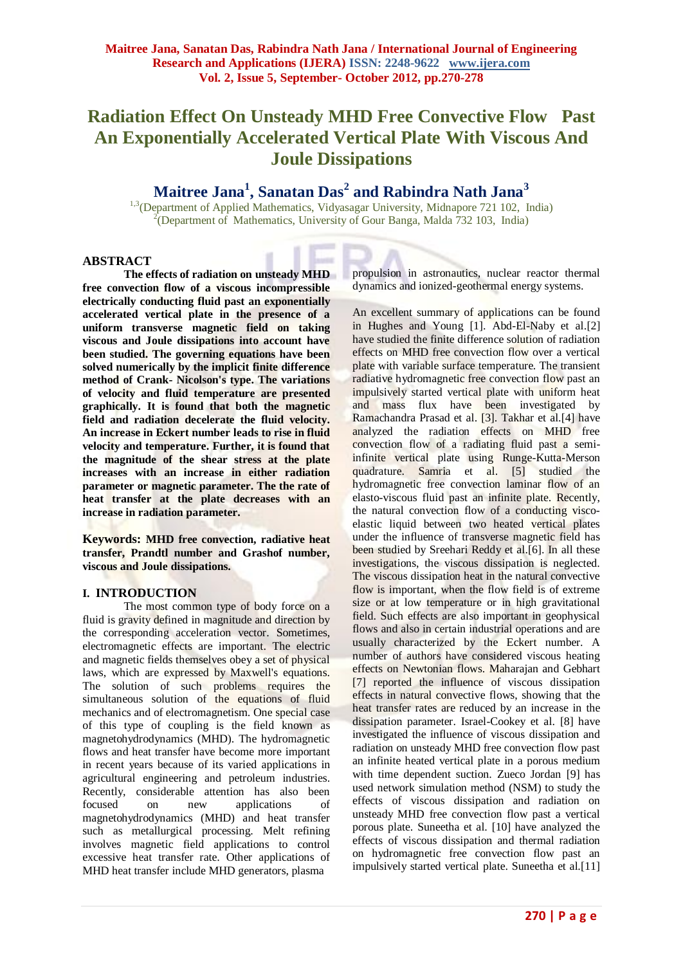# **Radiation Effect On Unsteady MHD Free Convective Flow Past An Exponentially Accelerated Vertical Plate With Viscous And Joule Dissipations**

# **Maitree Jana<sup>1</sup> , Sanatan Das<sup>2</sup> and Rabindra Nath Jana<sup>3</sup>**

<sup>1,3</sup>(Department of Applied Mathematics, Vidyasagar University, Midnapore 721 102, India) <sup>2</sup>(Department of Mathematics, University of Gour Banga, Malda 732 103, India)

## **ABSTRACT**

**The effects of radiation on unsteady MHD free convection flow of a viscous incompressible electrically conducting fluid past an exponentially accelerated vertical plate in the presence of a uniform transverse magnetic field on taking viscous and Joule dissipations into account have been studied. The governing equations have been solved numerically by the implicit finite difference method of Crank- Nicolson's type. The variations of velocity and fluid temperature are presented graphically. It is found that both the magnetic field and radiation decelerate the fluid velocity. An increase in Eckert number leads to rise in fluid velocity and temperature. Further, it is found that the magnitude of the shear stress at the plate increases with an increase in either radiation parameter or magnetic parameter. The the rate of heat transfer at the plate decreases with an increase in radiation parameter.**

**Keywords: MHD free convection, radiative heat transfer, Prandtl number and Grashof number, viscous and Joule dissipations.** 

### **I. INTRODUCTION**

The most common type of body force on a fluid is gravity defined in magnitude and direction by the corresponding acceleration vector. Sometimes, electromagnetic effects are important. The electric and magnetic fields themselves obey a set of physical laws, which are expressed by Maxwell's equations. The solution of such problems requires the simultaneous solution of the equations of fluid mechanics and of electromagnetism. One special case of this type of coupling is the field known as magnetohydrodynamics (MHD). The hydromagnetic flows and heat transfer have become more important in recent years because of its varied applications in agricultural engineering and petroleum industries. Recently, considerable attention has also been focused on new applications of magnetohydrodynamics (MHD) and heat transfer such as metallurgical processing. Melt refining involves magnetic field applications to control excessive heat transfer rate. Other applications of MHD heat transfer include MHD generators, plasma

propulsion in astronautics, nuclear reactor thermal dynamics and ionized-geothermal energy systems.

An excellent summary of applications can be found in Hughes and Young [1]. Abd-El-Naby et al.[2] have studied the finite difference solution of radiation effects on MHD free convection flow over a vertical plate with variable surface temperature. The transient radiative hydromagnetic free convection flow past an impulsively started vertical plate with uniform heat and mass flux have been investigated by Ramachandra Prasad et al. [3]. Takhar et al.[4] have analyzed the radiation effects on MHD free convection flow of a radiating fluid past a semiinfinite vertical plate using Runge-Kutta-Merson quadrature. Samria et al. [5] studied the hydromagnetic free convection laminar flow of an elasto-viscous fluid past an infinite plate. Recently, the natural convection flow of a conducting viscoelastic liquid between two heated vertical plates under the influence of transverse magnetic field has been studied by Sreehari Reddy et al.[6]. In all these investigations, the viscous dissipation is neglected. The viscous dissipation heat in the natural convective flow is important, when the flow field is of extreme size or at low temperature or in high gravitational field. Such effects are also important in geophysical flows and also in certain industrial operations and are usually characterized by the Eckert number. A number of authors have considered viscous heating effects on Newtonian flows. Maharajan and Gebhart [7] reported the influence of viscous dissipation effects in natural convective flows, showing that the heat transfer rates are reduced by an increase in the dissipation parameter. Israel-Cookey et al. [8] have investigated the influence of viscous dissipation and radiation on unsteady MHD free convection flow past an infinite heated vertical plate in a porous medium with time dependent suction. Zueco Jordan [9] has used network simulation method (NSM) to study the effects of viscous dissipation and radiation on unsteady MHD free convection flow past a vertical porous plate. Suneetha et al. [10] have analyzed the effects of viscous dissipation and thermal radiation on hydromagnetic free convection flow past an impulsively started vertical plate. Suneetha et al.[11]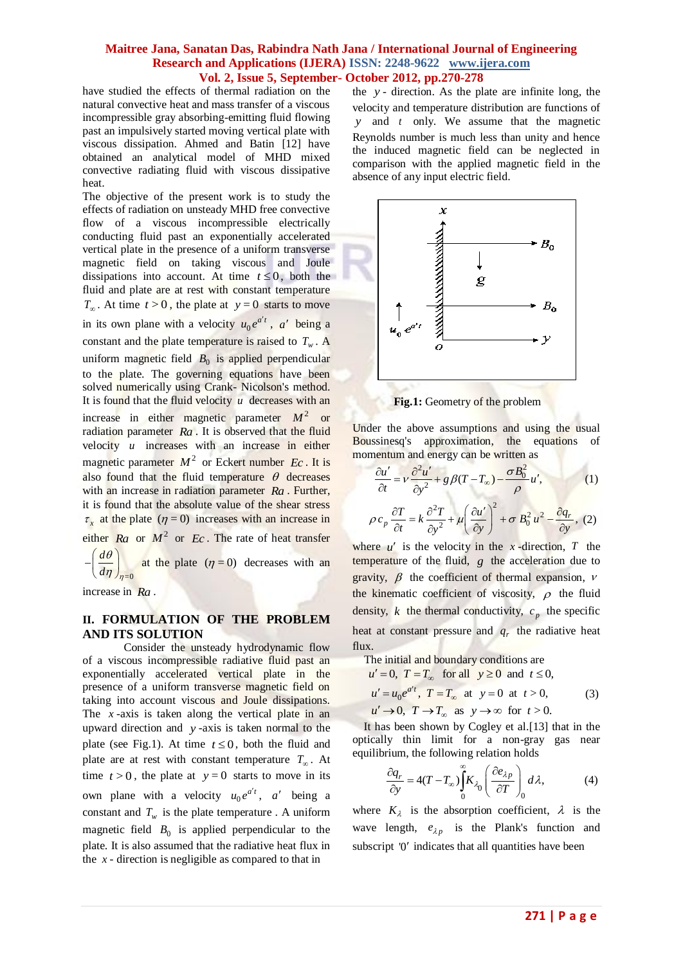have studied the effects of thermal radiation on the natural convective heat and mass transfer of a viscous incompressible gray absorbing-emitting fluid flowing past an impulsively started moving vertical plate with viscous dissipation. Ahmed and Batin [12] have obtained an analytical model of MHD mixed convective radiating fluid with viscous dissipative heat.

The objective of the present work is to study the effects of radiation on unsteady MHD free convective flow of a viscous incompressible electrically conducting fluid past an exponentially accelerated vertical plate in the presence of a uniform transverse magnetic field on taking viscous and Joule dissipations into account. At time  $t \leq 0$ , both the fluid and plate are at rest with constant temperature  $T_{\infty}$ . At time  $t > 0$ , the plate at  $y = 0$  starts to move in its own plane with a velocity  $u_0 e^{a't}$ , a' being a constant and the plate temperature is raised to  $T_w$ . A uniform magnetic field  $B_0$  is applied perpendicular to the plate. The governing equations have been solved numerically using Crank- Nicolson's method. It is found that the fluid velocity  $u$  decreases with an increase in either magnetic parameter  $M^2$  or radiation parameter *Ra* . It is observed that the fluid velocity *u* increases with an increase in either magnetic parameter  $M^2$  or Eckert number  $Ec$ . It is also found that the fluid temperature  $\theta$  decreases with an increase in radiation parameter *Ra* . Further, it is found that the absolute value of the shear stress  $\tau_x$  at the plate ( $\eta = 0$ ) increases with an increase in either  $Ra$  or  $M^2$  or  $Ec$ . The rate of heat transfer  $=0$ *d*  $d\eta$ <sub>)</sub><sub> $\eta$ </sub>  $\theta$  $\eta$  $-\left(\frac{d\theta}{d\eta}\right)_{\eta=0}$  at the plate  $(\eta=0)$  decreases with an

increase in *Ra* .

## **II. FORMULATION OF THE PROBLEM AND ITS SOLUTION**

Consider the unsteady hydrodynamic flow of a viscous incompressible radiative fluid past an exponentially accelerated vertical plate in the presence of a uniform transverse magnetic field on taking into account viscous and Joule dissipations. The  $x$ -axis is taken along the vertical plate in an upward direction and *y* -axis is taken normal to the plate (see Fig.1). At time  $t \le 0$ , both the fluid and plate are at rest with constant temperature  $T_{\infty}$ . At time  $t > 0$ , the plate at  $y = 0$  starts to move in its own plane with a velocity  $u_0 e^{a't}$ , a' being a constant and  $T_w$  is the plate temperature. A uniform magnetic field  $B_0$  is applied perpendicular to the plate. It is also assumed that the radiative heat flux in the  $x$  - direction is negligible as compared to that in

the *y* - direction. As the plate are infinite long, the velocity and temperature distribution are functions of *y* and *t* only. We assume that the magnetic Reynolds number is much less than unity and hence the induced magnetic field can be neglected in comparison with the applied magnetic field in the absence of any input electric field.



**Fig.1:** Geometry of the problem

Under the above assumptions and using the usual Boussinesq's approximation, the equations of

momentum and energy can be written as  
\n
$$
\frac{\partial u'}{\partial t} = v \frac{\partial^2 u'}{\partial y^2} + g \beta (T - T_{\infty}) - \frac{\sigma B_0^2}{\rho} u', \qquad (1)
$$
\n
$$
\rho c_p \frac{\partial T}{\partial t} = k \frac{\partial^2 T}{\partial y^2} + \mu \left( \frac{\partial u'}{\partial y} \right)^2 + \sigma B_0^2 u^2 - \frac{\partial q_r}{\partial y}, \qquad (2)
$$

where  $u'$  is the velocity in the *x*-direction, *T* the temperature of the fluid,  $g$  the acceleration due to gravity,  $\beta$  the coefficient of thermal expansion,  $\nu$ the kinematic coefficient of viscosity,  $\rho$  the fluid density, *k* the thermal conductivity,  $c_p$  the specific heat at constant pressure and  $q_r$  the radiative heat flux.

The initial and boundary conditions are  
\n
$$
u' = 0
$$
,  $T = T_{\infty}$  for all  $y \ge 0$  and  $t \le 0$ ,  
\n $u' = u_0 e^{at'}$ ,  $T = T_{\infty}$  at  $y = 0$  at  $t > 0$ ,  
\n $u' \rightarrow 0$ ,  $T \rightarrow T_{\infty}$  as  $y \rightarrow \infty$  for  $t > 0$ . (3)

 It has been shown by Cogley et al.[13] that in the optically thin limit for a non-gray gas near

equilibrium, the following relation holds  
\n
$$
\frac{\partial q_r}{\partial y} = 4(T - T_\infty) \int_0^\infty K_{\lambda_0} \left( \frac{\partial e_{\lambda p}}{\partial T} \right)_0 d\lambda,
$$
\n(4)

where  $K_{\lambda}$  is the absorption coefficient,  $\lambda$  is the wave length,  $e_{\lambda p}$  is the Plank's function and subscript '0' indicates that all quantities have been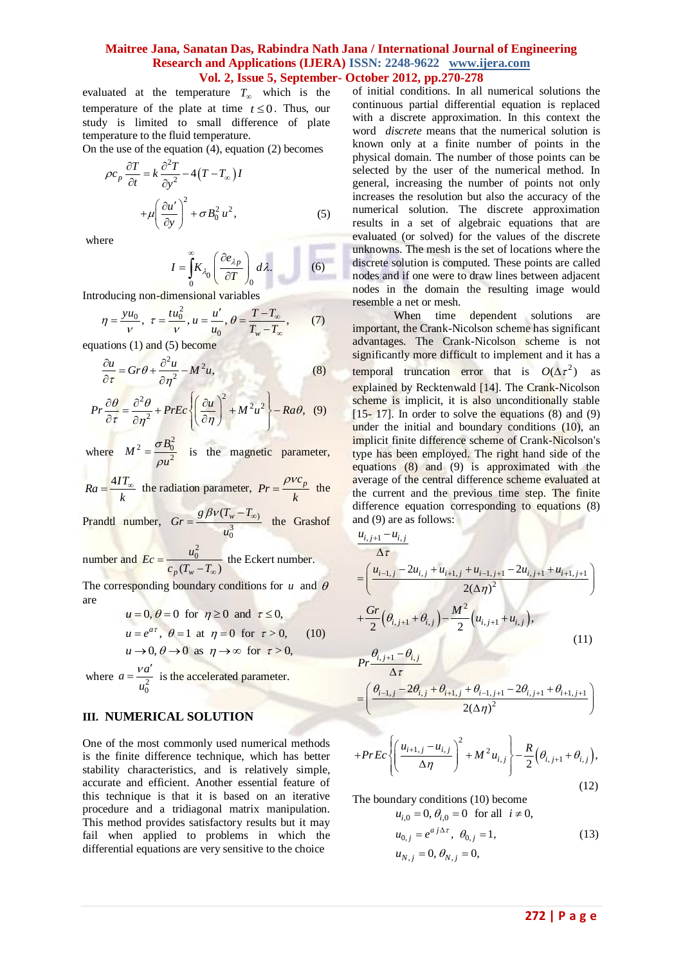evaluated at the temperature  $T_{\infty}$  which is the temperature of the plate at time  $t \leq 0$ . Thus, our study is limited to small difference of plate temperature to the fluid temperature.

On the use of the equation (4), equation (2) becomes

$$
\rho c_p \frac{\partial T}{\partial t} = k \frac{\partial^2 T}{\partial y^2} - 4(T - T_{\infty})I
$$

$$
+ \mu \left(\frac{\partial u'}{\partial y}\right)^2 + \sigma B_0^2 u^2,
$$
 (5)

where

$$
I = \int_{0}^{\infty} K_{\lambda_0} \left( \frac{\partial e_{\lambda p}}{\partial T} \right)_0 d\lambda.
$$
 (6)

Introducing non-dimensional variables  
\n
$$
\eta = \frac{yu_0}{v}, \ \tau = \frac{tu_0^2}{v}, u = \frac{u'}{u_0}, \ \theta = \frac{T - T_{\infty}}{T_w - T_{\infty}}, \tag{7}
$$

equations (1) and (5) become

$$
\frac{\partial u}{\partial \tau} = Gr \theta + \frac{\partial^2 u}{\partial \eta^2} - M^2 u,\tag{8}
$$

$$
\frac{\partial \tau}{\partial \tau} = \frac{\partial^2 \theta}{\partial \eta^2} + PrEc \left\{ \left( \frac{\partial u}{\partial \eta} \right)^2 + M^2 u^2 \right\} - Ra\theta, \quad (9)
$$

where  $2-\sigma B_0^2$ 2  $M^2 = \frac{\sigma B}{\sigma}$ *u* σ  $\rho$  $=\frac{0.20}{2}$  is the magnetic parameter,

$$
Ra = \frac{4IT_{\infty}}{k}
$$
 the radiation parameter,  $Pr = \frac{\rho v c_p}{k}$  the

Prandtl number,  $Gr = \frac{g \rho V (I_w - I_{\infty})}{2}$ 3 0  $\frac{g \beta v (T_w - T_w)}{r^2}$ *u*  $=\frac{g \beta v (T_w - T_{\infty})}{2}$  the Grashof

number and  $\begin{bmatrix} 2 \\ 0 \end{bmatrix}$  $_{p} ( T_{w} - T_{\infty} )$  $Ec = \frac{u_0^2}{c_p(T_w - T_\infty)}$  the Eckert number.

The corresponding boundary conditions for  $u$  and  $\theta$ are

$$
u = 0, \theta = 0 \text{ for } \eta \ge 0 \text{ and } \tau \le 0,
$$
  
\n
$$
u = e^{a\tau}, \theta = 1 \text{ at } \eta = 0 \text{ for } \tau > 0,
$$
 (10)  
\n
$$
u \to 0, \theta \to 0 \text{ as } \eta \to \infty \text{ for } \tau > 0,
$$

where  $a = \frac{v a}{u_0^2}$  $a = \frac{va}{a}$ *u*  $=\frac{va'}{a}$  is the accelerated parameter.

### **III. NUMERICAL SOLUTION**

One of the most commonly used numerical methods is the finite difference technique, which has better stability characteristics, and is relatively simple, accurate and efficient. Another essential feature of this technique is that it is based on an iterative procedure and a tridiagonal matrix manipulation. This method provides satisfactory results but it may fail when applied to problems in which the differential equations are very sensitive to the choice

of initial conditions. In all numerical solutions the continuous partial differential equation is replaced with a discrete approximation. In this context the word *discrete* means that the numerical solution is known only at a finite number of points in the physical domain. The number of those points can be selected by the user of the numerical method. In general, increasing the number of points not only increases the resolution but also the accuracy of the numerical solution. The discrete approximation results in a set of algebraic equations that are evaluated (or solved) for the values of the discrete unknowns. The mesh is the set of locations where the discrete solution is computed. These points are called nodes and if one were to draw lines between adjacent nodes in the domain the resulting image would resemble a net or mesh.

When time dependent solutions are important, the Crank-Nicolson scheme has significant advantages. The Crank-Nicolson scheme is not significantly more difficult to implement and it has a temporal truncation error that is  $O(\Delta \tau^2)$  as explained by Recktenwald [14]. The Crank-Nicolson scheme is implicit, it is also unconditionally stable  $[15-17]$ . In order to solve the equations  $(8)$  and  $(9)$ under the initial and boundary conditions (10), an implicit finite difference scheme of Crank-Nicolson's type has been employed. The right hand side of the equations (8) and (9) is approximated with the average of the central difference scheme evaluated at the current and the previous time step. The finite difference equation corresponding to equations (8) and (9) are as follows:

$$
\frac{u_{i,j+1} - u_{i,j}}{\Delta \tau}
$$
\n
$$
= \left( \frac{u_{i-1,j} - 2u_{i,j} + u_{i+1,j} + u_{i-1,j+1} - 2u_{i,j+1} + u_{i+1,j+1}}{2(\Delta \eta)^2} \right)
$$
\n
$$
+ \frac{Gr}{2} \left( \theta_{i,j+1} + \theta_{i,j} \right) - \frac{M^2}{2} \left( u_{i,j+1} + u_{i,j} \right),
$$
\n(11)

$$
Pr \frac{\theta_{i,j+1} - \theta_{i,j}}{}
$$

$$
\Delta \tau
$$
\n
$$
= \left( \frac{\theta_{i-1,j} - 2\theta_{i,j} + \theta_{i+1,j} + \theta_{i-1,j+1} - 2\theta_{i,j+1} + \theta_{i+1,j+1}}{2(\Delta \eta)^2} \right)
$$

$$
+PrEc\left\{ \left(\frac{u_{i+1,j} - u_{i,j}}{\Delta \eta}\right)^2 + M^2 u_{i,j} \right\} - \frac{R}{2} \left(\theta_{i,j+1} + \theta_{i,j}\right),\tag{12}
$$

The boundary conditions (10) become  
\n
$$
u_{i,0} = 0, \theta_{i,0} = 0 \text{ for all } i \neq 0,
$$
\n
$$
u_{0,j} = e^{a j \Delta \tau}, \ \theta_{0,j} = 1,
$$
\n
$$
u_{N,j} = 0, \ \theta_{N,j} = 0,
$$
\n(13)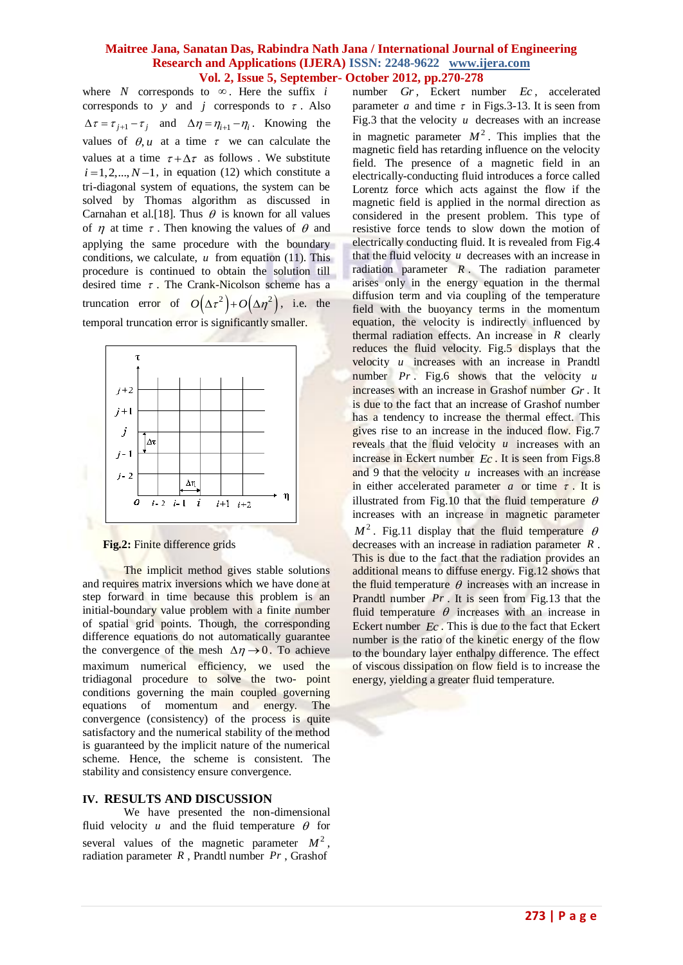where  $N$  corresponds to  $\infty$ . Here the suffix  $i$ corresponds to  $y$  and  $j$  corresponds to  $\tau$ . Also  $\Delta \tau = \tau_{j+1} - \tau_j$  and  $\Delta \eta = \eta_{i+1} - \eta_i$ . Knowing the values of  $\theta$ , *u* at a time  $\tau$  we can calculate the values at a time  $\tau + \Delta \tau$  as follows. We substitute  $i = 1, 2, \dots, N-1$ , in equation (12) which constitute a tri-diagonal system of equations, the system can be solved by Thomas algorithm as discussed in Carnahan et al. [18]. Thus  $\theta$  is known for all values of  $\eta$  at time  $\tau$ . Then knowing the values of  $\theta$  and applying the same procedure with the boundary conditions, we calculate,  $u$  from equation (11). This procedure is continued to obtain the solution till desired time  $\tau$ . The Crank-Nicolson scheme has a truncation error of  $O(\Delta \tau^2) + O(\Delta \eta^2)$ , i.e. the temporal truncation error is significantly smaller.



 **Fig.2:** Finite difference grids

The implicit method gives stable solutions and requires matrix inversions which we have done at step forward in time because this problem is an initial-boundary value problem with a finite number of spatial grid points. Though, the corresponding difference equations do not automatically guarantee the convergence of the mesh  $\Delta \eta \rightarrow 0$ . To achieve maximum numerical efficiency, we used the tridiagonal procedure to solve the two- point conditions governing the main coupled governing equations of momentum and energy. The convergence (consistency) of the process is quite satisfactory and the numerical stability of the method is guaranteed by the implicit nature of the numerical scheme. Hence, the scheme is consistent. The stability and consistency ensure convergence.

## **IV. RESULTS AND DISCUSSION**

We have presented the non-dimensional fluid velocity  $u$  and the fluid temperature  $\theta$  for several values of the magnetic parameter  $M^2$ , radiation parameter *R* , Prandtl number *Pr* , Grashof

number *Gr*, Eckert number *Ec*, accelerated parameter *a* and time  $\tau$  in Figs. 3-13. It is seen from Fig.3 that the velocity  $u$  decreases with an increase in magnetic parameter  $M^2$ . This implies that the magnetic field has retarding influence on the velocity field. The presence of a magnetic field in an electrically-conducting fluid introduces a force called Lorentz force which acts against the flow if the magnetic field is applied in the normal direction as considered in the present problem. This type of resistive force tends to slow down the motion of electrically conducting fluid. It is revealed from Fig.4 that the fluid velocity  $u$  decreases with an increase in radiation parameter  $R$ . The radiation parameter arises only in the energy equation in the thermal diffusion term and via coupling of the temperature field with the buoyancy terms in the momentum equation, the velocity is indirectly influenced by thermal radiation effects. An increase in *R* clearly reduces the fluid velocity. Fig.5 displays that the velocity *u* increases with an increase in Prandtl number *Pr* . Fig.6 shows that the velocity *u* increases with an increase in Grashof number *Gr* . It is due to the fact that an increase of Grashof number has a tendency to increase the thermal effect. This gives rise to an increase in the induced flow. Fig.7 reveals that the fluid velocity u increases with an increase in Eckert number *Ec* . It is seen from Figs.8 and 9 that the velocity u increases with an increase in either accelerated parameter  $a$  or time  $\tau$ . It is illustrated from Fig.10 that the fluid temperature  $\theta$ increases with an increase in magnetic parameter  $M^2$ . Fig.11 display that the fluid temperature  $\theta$ decreases with an increase in radiation parameter *R* . This is due to the fact that the radiation provides an additional means to diffuse energy. Fig.12 shows that the fluid temperature  $\theta$  increases with an increase in Prandtl number *Pr*. It is seen from Fig.13 that the fluid temperature  $\theta$  increases with an increase in Eckert number *Ec* . This is due to the fact that Eckert number is the ratio of the kinetic energy of the flow to the boundary layer enthalpy difference. The effect of viscous dissipation on flow field is to increase the energy, yielding a greater fluid temperature.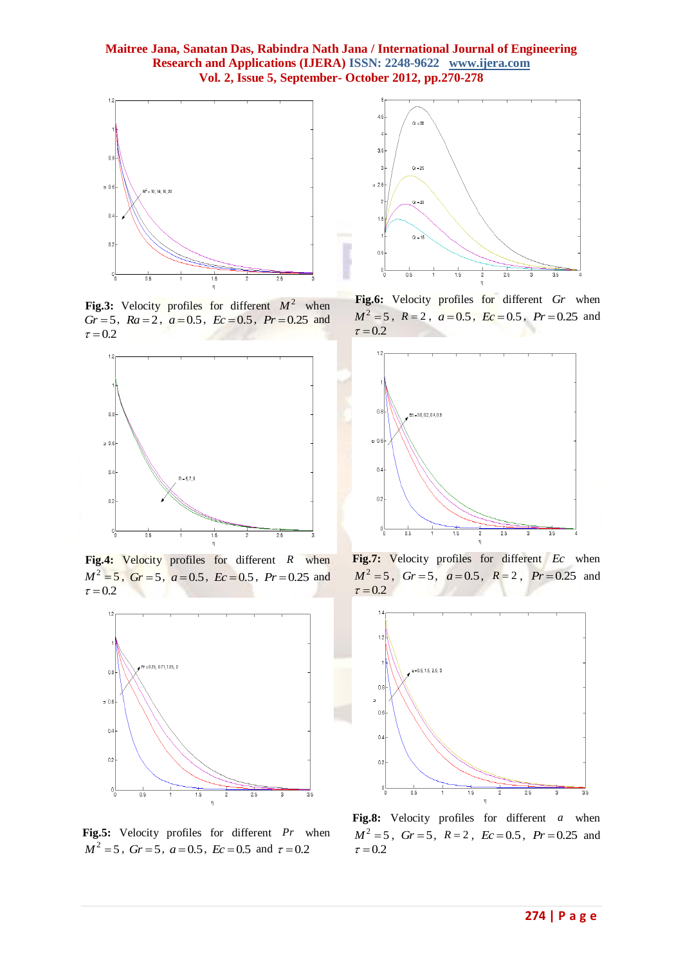

**Fig.3:** Velocity profiles for different  $M^2$  when  $Gr = 5$ ,  $Ra = 2$ ,  $a = 0.5$ ,  $Ec = 0.5$ ,  $Pr = 0.25$  and  $\tau = 0.2$ 



Fig.4: Velocity profiles for different R when  $M^2 = 5$ ,  $Gr = 5$ ,  $a = 0.5$ ,  $Ec = 0.5$ ,  $Pr = 0.25$  and  $\tau = 0.2$ 



**Fig.5:** Velocity profiles for different *Pr* when  $M^2 = 5$ ,  $Gr = 5$ ,  $a = 0.5$ ,  $Ec = 0.5$  and  $\tau = 0.2$ 



**Fig.6:** Velocity profiles for different *Gr* when  $M^2 = 5$ ,  $R = 2$ ,  $a = 0.5$ ,  $Ec = 0.5$ ,  $Pr = 0.25$  and  $\tau = 0.2$ 



**Fig.7:** Velocity profiles for different *Ec* when  $M^2 = 5$ ,  $Gr = 5$ ,  $a = 0.5$ ,  $R = 2$ ,  $Pr = 0.25$  and  $\tau = 0.2$ 



**Fig.8:** Velocity profiles for different *a* when  $M^2 = 5$ ,  $Gr = 5$ ,  $R = 2$ ,  $Ec = 0.5$ ,  $Pr = 0.25$  and  $\tau = 0.2$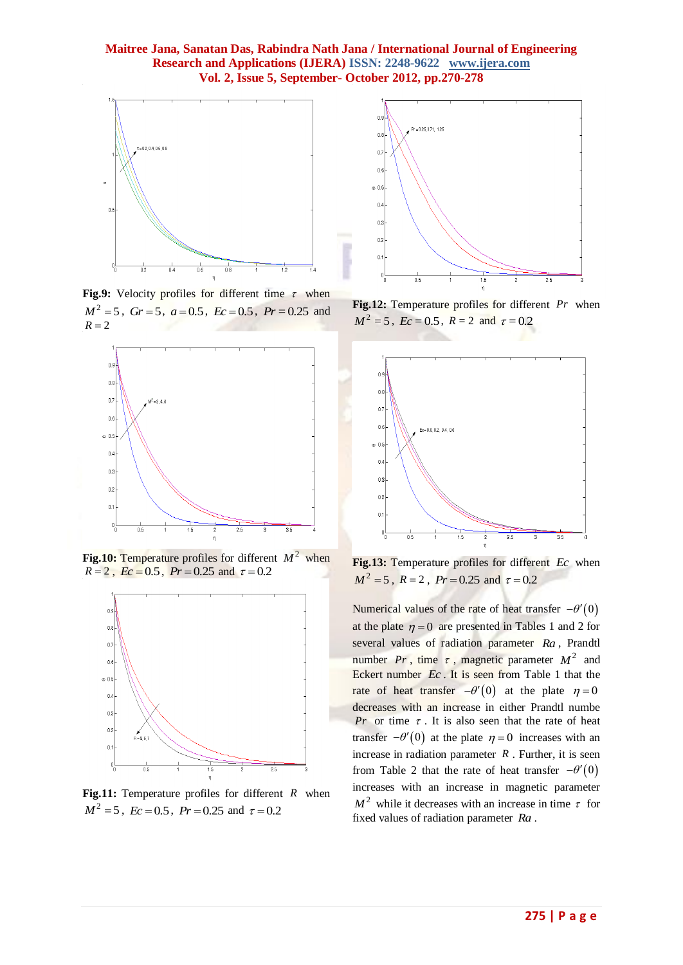

Fig.9: Velocity profiles for different time  $\tau$  when  $M^2 = 5$ ,  $Gr = 5$ ,  $a = 0.5$ ,  $Ec = 0.5$ ,  $Pr = 0.25$  and  $R = 2$ 



Fig.10: Temperature profiles for different  $M^2$  when  $R = 2$ ,  $Ec = 0.5$ ,  $Pr = 0.25$  and  $\tau = 0.2$ 



**Fig.11:** Temperature profiles for different *R* when  $M^2 = 5$ ,  $Ec = 0.5$ ,  $Pr = 0.25$  and  $\tau = 0.2$ 



**Fig.12:** Temperature profiles for different *Pr* when  $M^2 = 5$ ,  $Ec = 0.5$ ,  $R = 2$  and  $\tau = 0.2$ 



**Fig.13:** Temperature profiles for different *Ec* when  $M^2 = 5$ ,  $R = 2$ ,  $Pr = 0.25$  and  $\tau = 0.2$ 

Numerical values of the rate of heat transfer  $-\theta'(0)$ at the plate  $\eta = 0$  are presented in Tables 1 and 2 for several values of radiation parameter *Ra* , Prandtl number  $Pr$ , time  $\tau$ , magnetic parameter  $M^2$  and Eckert number *Ec* . It is seen from Table 1 that the rate of heat transfer  $-\theta'(0)$  at the plate  $\eta = 0$ decreases with an increase in either Prandtl numbe *Pr* or time  $\tau$ . It is also seen that the rate of heat transfer  $-\theta'(0)$  at the plate  $\eta = 0$  increases with an increase in radiation parameter  $R$ . Further, it is seen from Table 2 that the rate of heat transfer  $-\theta'(0)$ increases with an increase in magnetic parameter  $M^2$  while it decreases with an increase in time  $\tau$  for fixed values of radiation parameter *Ra* .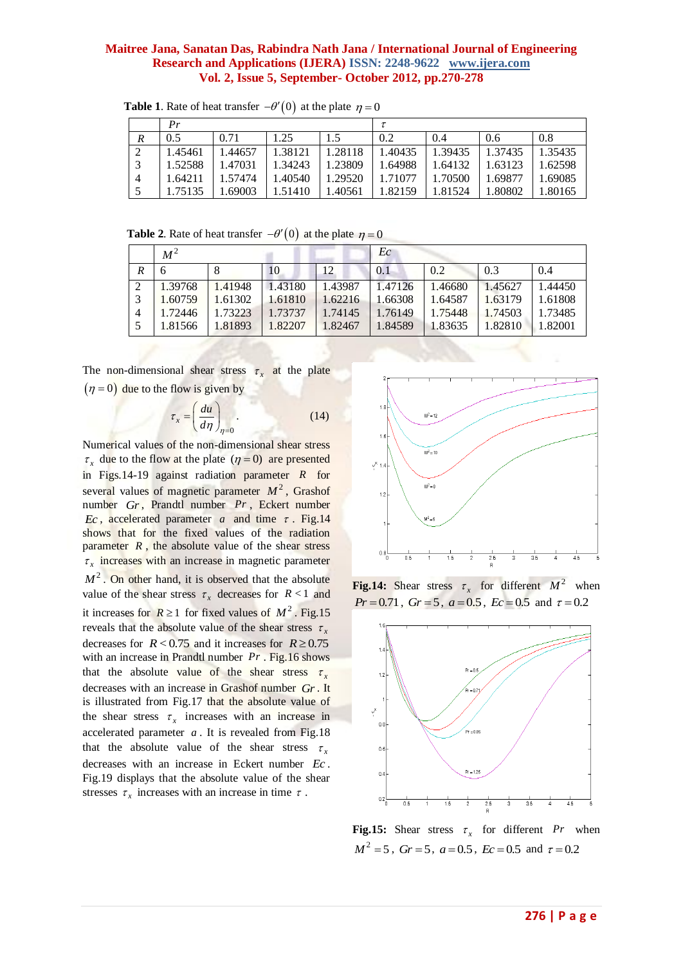|               | Pr      |         |         |         | τ       |         |         |         |
|---------------|---------|---------|---------|---------|---------|---------|---------|---------|
| R             | 0.5     | 0.71    | 1.25    | 1.5     | 0.2     | 0.4     | 0.6     | 0.8     |
| $\mathcal{L}$ | 1.45461 | 1.44657 | 1.38121 | 1.28118 | 1.40435 | 1.39435 | 1.37435 | 1.35435 |
| $\sim$        | 1.52588 | 1.47031 | 1.34243 | 1.23809 | 1.64988 | .64132  | 1.63123 | 1.62598 |
|               | 1.64211 | 1.57474 | 1.40540 | 1.29520 | 1.71077 | 1.70500 | 1.69877 | 1.69085 |
|               | 1.75135 | .69003  | 1.51410 | .40561  | 1.82159 | .81524  | 1.80802 | .80165  |

**Table 1.** Rate of heat transfer  $-\theta'(0)$  at the plate  $\eta = 0$ 

**Table 2.** Rate of heat transfer  $-\theta'(0)$  at the plate  $\eta = 0$ 

|                | $M^2$   |         |         |         | Eс      |         |         |         |
|----------------|---------|---------|---------|---------|---------|---------|---------|---------|
| R              |         | 8       | 10      | 12      | 0.1     | 0.2     | 0.3     | 0.4     |
|                | 1.39768 | 1.41948 | 1.43180 | 1.43987 | 1.47126 | 1.46680 | 1.45627 | 1.44450 |
|                | 1.60759 | 1.61302 | 1.61810 | 1.62216 | 1.66308 | 1.64587 | 1.63179 | 1.61808 |
| $\overline{4}$ | 1.72446 | 1.73223 | 1.73737 | 1.74145 | 1.76149 | 1.75448 | 1.74503 | 1.73485 |
|                | 1.81566 | 1.81893 | 1.82207 | 1.82467 | 1.84589 | 1.83635 | 1.82810 | 1.82001 |

The non-dimensional shear stress  $\tau_x$  at the plate  $(\eta = 0)$  due to the flow is given by

$$
\tau_x = \left(\frac{du}{d\eta}\right)_{\eta=0}.\tag{14}
$$

Numerical values of the non-dimensional shear stress  $\tau_x$  due to the flow at the plate  $(\eta = 0)$  are presented in Figs.14-19 against radiation parameter *R* for several values of magnetic parameter  $M^2$ , Grashof number *Gr* , Prandtl number *Pr* , Eckert number *Ec*, accelerated parameter *a* and time  $\tau$ . Fig.14 shows that for the fixed values of the radiation parameter  $R$ , the absolute value of the shear stress  $\tau_x$  increases with an increase in magnetic parameter  $M^2$ . On other hand, it is observed that the absolute value of the shear stress  $\tau_x$  decreases for  $R < 1$  and it increases for  $\mathbb{R} \ge 1$  for fixed values of  $M^2$ . Fig.15 reveals that the absolute value of the shear stress  $\tau_x$ decreases for  $R < 0.75$  and it increases for  $R \ge 0.75$ with an increase in Prandtl number *Pr*. Fig.16 shows that the absolute value of the shear stress  $\tau_x$ decreases with an increase in Grashof number *Gr* . It is illustrated from Fig.17 that the absolute value of the shear stress  $\tau_x$  increases with an increase in accelerated parameter *a* . It is revealed from Fig.18 that the absolute value of the shear stress  $\tau_x$ decreases with an increase in Eckert number *Ec* . Fig.19 displays that the absolute value of the shear stresses  $\tau_x$  increases with an increase in time  $\tau$ .



**Fig.14:** Shear stress  $\tau_x$  for different  $M^2$  when *Pr* = 0.71, *Gr* = 5, *a* = 0.5, *Ec* = 0.5 and  $\tau$  = 0.2



**Fig.15:** Shear stress  $\tau_x$  for different Pr when  $M^2 = 5$ ,  $Gr = 5$ ,  $a = 0.5$ ,  $Ec = 0.5$  and  $\tau = 0.2$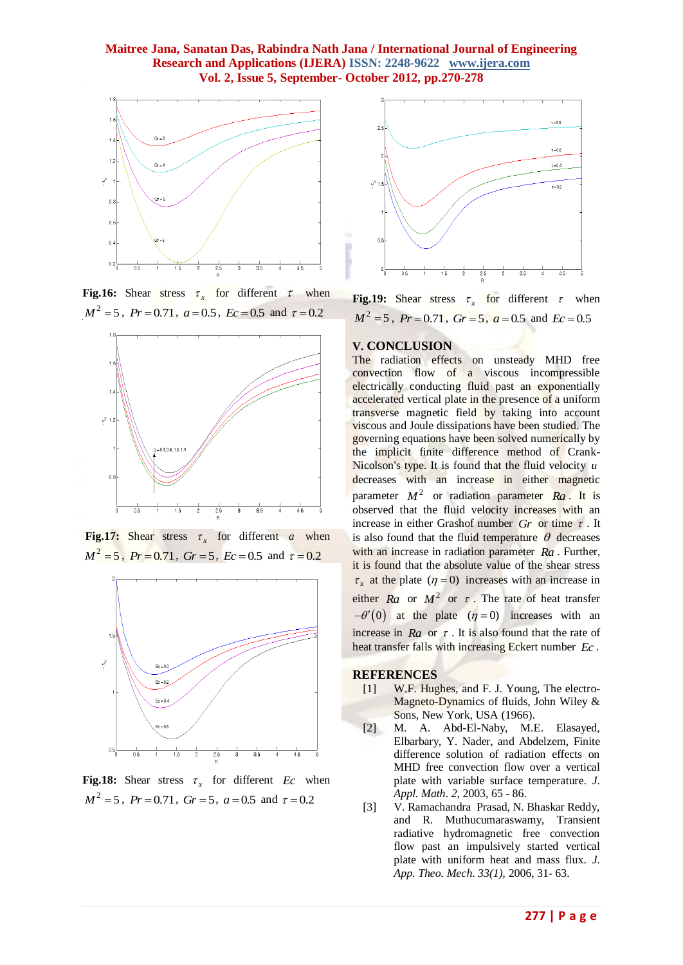

**Fig.16:** Shear stress  $\tau_x$  for different  $\tau$  when  $M^2 = 5$ ,  $Pr = 0.71$ ,  $a = 0.5$ ,  $Ec = 0.5$  and  $\tau = 0.2$ 



**Fig.17:** Shear stress  $\tau_x$  for different *a* when  $M^2 = 5$ ,  $Pr = 0.71$ ,  $Gr = 5$ ,  $Ec = 0.5$  and  $\tau = 0.2$ 



**Fig.18:** Shear stress  $\tau_x$  for different *Ec* when  $M^2 = 5$ ,  $Pr = 0.71$ ,  $Gr = 5$ ,  $a = 0.5$  and  $\tau = 0.2$ 



**Fig.19:** Shear stress  $\tau_x$  for different  $\tau$  when  $M^2 = 5$ ,  $Pr = 0.71$ ,  $Gr = 5$ ,  $a = 0.5$  and  $Ec = 0.5$ 

#### **V. CONCLUSION**

The radiation effects on unsteady MHD free convection flow of a viscous incompressible electrically conducting fluid past an exponentially accelerated vertical plate in the presence of a uniform transverse magnetic field by taking into account viscous and Joule dissipations have been studied. The governing equations have been solved numerically by the implicit finite difference method of Crank-Nicolson's type. It is found that the fluid velocity *u* decreases with an increase in either magnetic parameter  $M^2$  or radiation parameter  $Ra$ . It is observed that the fluid velocity increases with an increase in either Grashof number  $Gr$  or time  $\tau$ . It is also found that the fluid temperature  $\theta$  decreases with an increase in radiation parameter *Ra* . Further, it is found that the absolute value of the shear stress  $\tau_x$  at the plate ( $\eta = 0$ ) increases with an increase in either *Ra* or  $M^2$  or  $\tau$ . The rate of heat transfer  $-\theta'(0)$  at the plate  $(\eta = 0)$  increases with an increase in  $Ra$  or  $\tau$ . It is also found that the rate of heat transfer falls with increasing Eckert number *Ec* .

#### **REFERENCES**

- [1] W.F. Hughes, and F. J. Young, The electro-Magneto-Dynamics of fluids, John Wiley & Sons, New York, USA (1966).
- [2] M. A. Abd-El-Naby, M.E. Elasayed, Elbarbary, Y. Nader, and Abdelzem, Finite difference solution of radiation effects on MHD free convection flow over a vertical plate with variable surface temperature*. J. Appl. Math*. *2*, 2003, 65 - 86.
- [3] V. Ramachandra Prasad, N. Bhaskar Reddy, and R. Muthucumaraswamy, Transient radiative hydromagnetic free convection flow past an impulsively started vertical plate with uniform heat and mass flux*. J. App. Theo. Mech*. *33(1),* 2006, 31- 63.